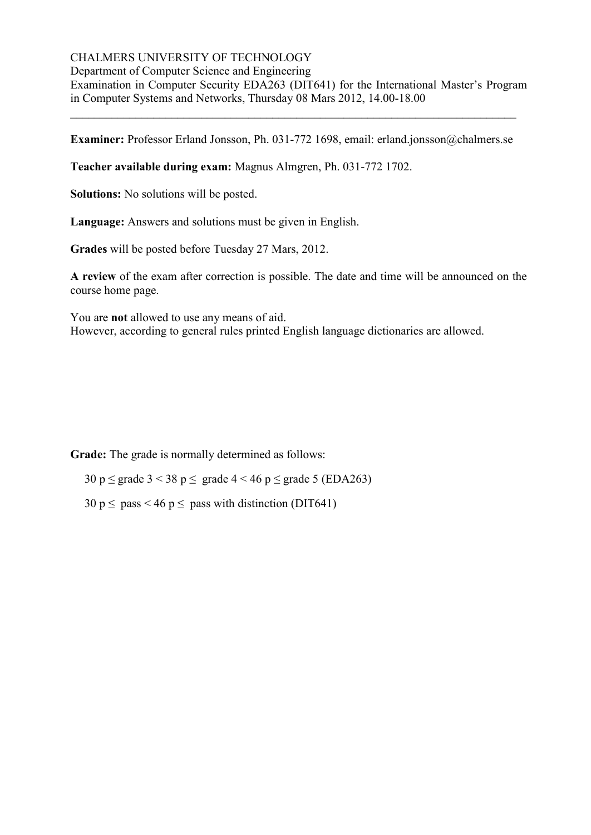### CHALMERS UNIVERSITY OF TECHNOLOGY

Department of Computer Science and Engineering

Examination in Computer Security EDA263 (DIT641) for the International Master's Program in Computer Systems and Networks, Thursday 08 Mars 2012, 14.00-18.00

**Examiner:** Professor Erland Jonsson, Ph. 031-772 1698, email: erland.jonsson@chalmers.se

\_\_\_\_\_\_\_\_\_\_\_\_\_\_\_\_\_\_\_\_\_\_\_\_\_\_\_\_\_\_\_\_\_\_\_\_\_\_\_\_\_\_\_\_\_\_\_\_\_\_\_\_\_\_\_\_\_\_\_\_\_\_\_\_\_\_\_\_\_\_\_\_\_\_\_

**Teacher available during exam:** Magnus Almgren, Ph. 031-772 1702.

**Solutions:** No solutions will be posted.

**Language:** Answers and solutions must be given in English.

**Grades** will be posted before Tuesday 27 Mars, 2012.

**A review** of the exam after correction is possible. The date and time will be announced on the course home page.

You are **not** allowed to use any means of aid. However, according to general rules printed English language dictionaries are allowed.

**Grade:** The grade is normally determined as follows:

30 p  $\leq$  grade 3 < 38 p  $\leq$  grade 4 < 46 p  $\leq$  grade 5 (EDA263)

 $30 \text{ p} \le \text{pass} < 46 \text{ p} \le \text{pass with distinction (DIT641)}$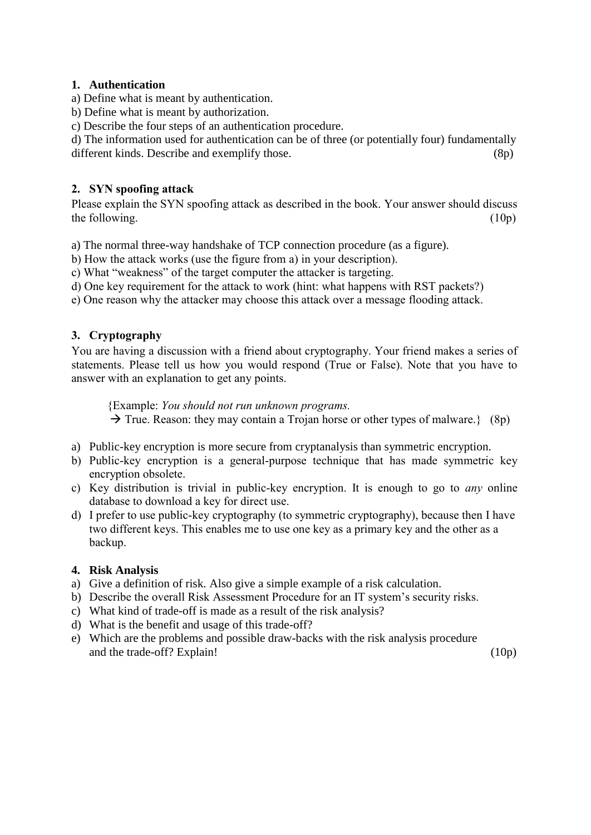### **1. Authentication**

- a) Define what is meant by authentication.
- b) Define what is meant by authorization.
- c) Describe the four steps of an authentication procedure.

d) The information used for authentication can be of three (or potentially four) fundamentally different kinds. Describe and exemplify those. (8p)

## **2. SYN spoofing attack**

Please explain the SYN spoofing attack as described in the book. Your answer should discuss the following.  $(10p)$ 

a) The normal three-way handshake of TCP connection procedure (as a figure).

b) How the attack works (use the figure from a) in your description).

c) What "weakness" of the target computer the attacker is targeting.

d) One key requirement for the attack to work (hint: what happens with RST packets?)

e) One reason why the attacker may choose this attack over a message flooding attack.

### **3. Cryptography**

You are having a discussion with a friend about cryptography. Your friend makes a series of statements. Please tell us how you would respond (True or False). Note that you have to answer with an explanation to get any points.

{Example: *You should not run unknown programs.*  $\rightarrow$  True. Reason: they may contain a Trojan horse or other types of malware.} (8p)

- a) Public-key encryption is more secure from cryptanalysis than symmetric encryption.
- b) Public-key encryption is a general-purpose technique that has made symmetric key encryption obsolete.
- c) Key distribution is trivial in public-key encryption. It is enough to go to *any* online database to download a key for direct use.
- d) I prefer to use public-key cryptography (to symmetric cryptography), because then I have two different keys. This enables me to use one key as a primary key and the other as a backup.

#### **4. Risk Analysis**

- a) Give a definition of risk. Also give a simple example of a risk calculation.
- b) Describe the overall Risk Assessment Procedure for an IT system's security risks.
- c) What kind of trade-off is made as a result of the risk analysis?
- d) What is the benefit and usage of this trade-off?
- e) Which are the problems and possible draw-backs with the risk analysis procedure and the trade-off? Explain!  $(10p)$